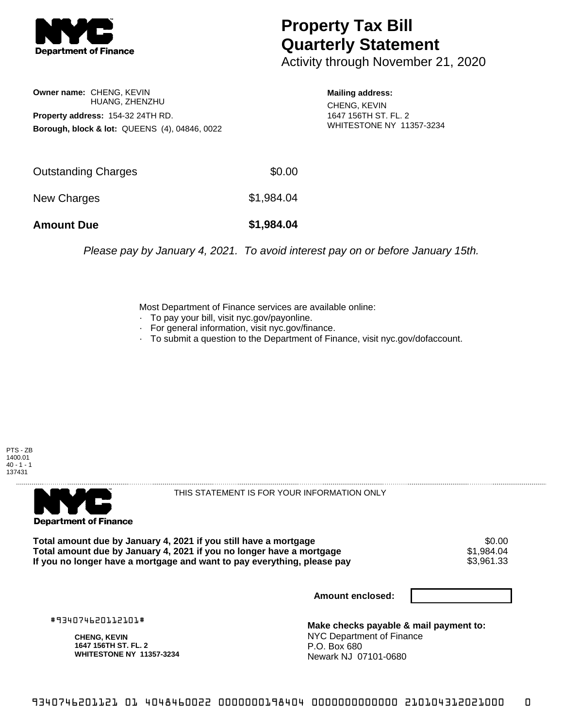

## **Property Tax Bill Quarterly Statement**

Activity through November 21, 2020

**Owner name:** CHENG, KEVIN HUANG, ZHENZHU **Property address:** 154-32 24TH RD. **Borough, block & lot:** QUEENS (4), 04846, 0022

**Mailing address:** CHENG, KEVIN

1647 156TH ST. FL. 2 WHITESTONE NY 11357-3234

| <b>Amount Due</b>   | \$1,984.04 |
|---------------------|------------|
| New Charges         | \$1,984.04 |
| Outstanding Charges | \$0.00     |

Please pay by January 4, 2021. To avoid interest pay on or before January 15th.

Most Department of Finance services are available online:

- · To pay your bill, visit nyc.gov/payonline.
- For general information, visit nyc.gov/finance.
- · To submit a question to the Department of Finance, visit nyc.gov/dofaccount.





THIS STATEMENT IS FOR YOUR INFORMATION ONLY

Total amount due by January 4, 2021 if you still have a mortgage \$0.00<br>Total amount due by January 4, 2021 if you no longer have a mortgage \$1.984.04 **Total amount due by January 4, 2021 if you no longer have a mortgage**  $$1,984.04$ **<br>If you no longer have a mortgage and want to pay everything, please pay <b>show that have a** \$3,961.33 If you no longer have a mortgage and want to pay everything, please pay

**Amount enclosed:**

#934074620112101#

**CHENG, KEVIN 1647 156TH ST. FL. 2 WHITESTONE NY 11357-3234**

**Make checks payable & mail payment to:** NYC Department of Finance P.O. Box 680 Newark NJ 07101-0680